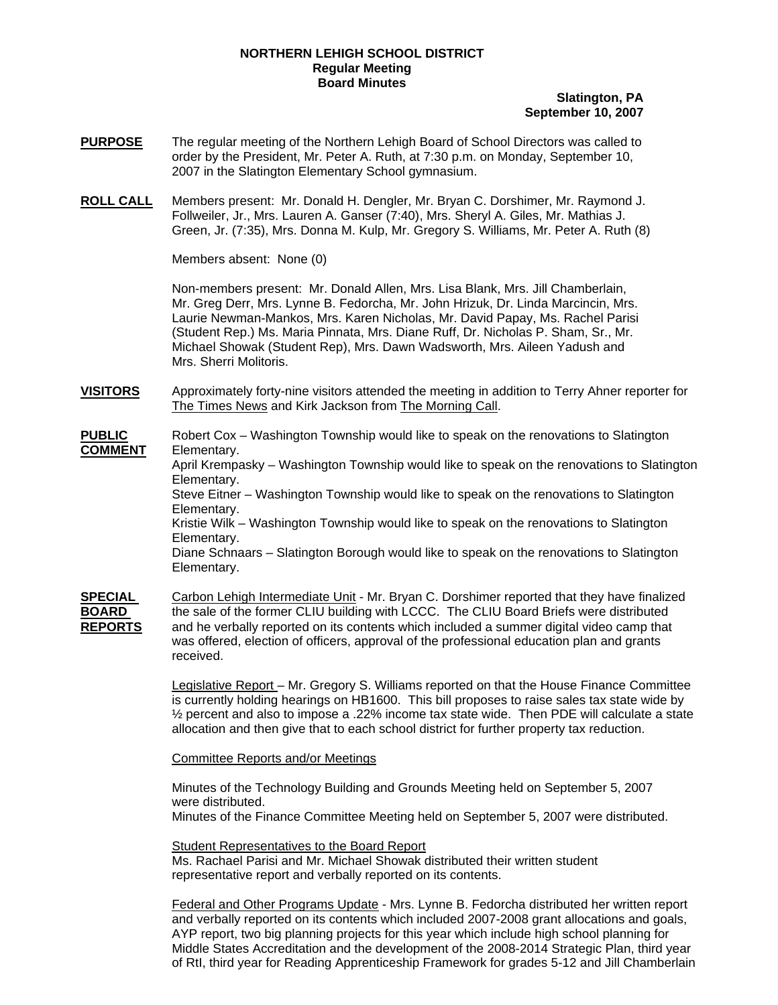## **NORTHERN LEHIGH SCHOOL DISTRICT Regular Meeting Board Minutes**

## **Slatington, PA September 10, 2007**

- **PURPOSE** The regular meeting of the Northern Lehigh Board of School Directors was called to order by the President, Mr. Peter A. Ruth, at 7:30 p.m. on Monday, September 10, 2007 in the Slatington Elementary School gymnasium.
- **ROLL CALL** Members present: Mr. Donald H. Dengler, Mr. Bryan C. Dorshimer, Mr. Raymond J. Follweiler, Jr., Mrs. Lauren A. Ganser (7:40), Mrs. Sheryl A. Giles, Mr. Mathias J. Green, Jr. (7:35), Mrs. Donna M. Kulp, Mr. Gregory S. Williams, Mr. Peter A. Ruth (8)

Members absent: None (0)

Non-members present: Mr. Donald Allen, Mrs. Lisa Blank, Mrs. Jill Chamberlain, Mr. Greg Derr, Mrs. Lynne B. Fedorcha, Mr. John Hrizuk, Dr. Linda Marcincin, Mrs. Laurie Newman-Mankos, Mrs. Karen Nicholas, Mr. David Papay, Ms. Rachel Parisi (Student Rep.) Ms. Maria Pinnata, Mrs. Diane Ruff, Dr. Nicholas P. Sham, Sr., Mr. Michael Showak (Student Rep), Mrs. Dawn Wadsworth, Mrs. Aileen Yadush and Mrs. Sherri Molitoris.

**VISITORS** Approximately forty-nine visitors attended the meeting in addition to Terry Ahner reporter for The Times News and Kirk Jackson from The Morning Call.

**PUBLIC** Robert Cox – Washington Township would like to speak on the renovations to Slatington **COMMENT** Elementary.

April Krempasky – Washington Township would like to speak on the renovations to Slatington Elementary.

Steve Eitner – Washington Township would like to speak on the renovations to Slatington Elementary.

Kristie Wilk – Washington Township would like to speak on the renovations to Slatington Elementary.

Diane Schnaars – Slatington Borough would like to speak on the renovations to Slatington Elementary.

**SPECIAL** Carbon Lehigh Intermediate Unit - Mr. Bryan C. Dorshimer reported that they have finalized **BOARD** the sale of the former CLIU building with LCCC. The CLIU Board Briefs were distributed **REPORTS** and he verbally reported on its contents which included a summer digital video camp that was offered, election of officers, approval of the professional education plan and grants received.

> Legislative Report – Mr. Gregory S. Williams reported on that the House Finance Committee is currently holding hearings on HB1600. This bill proposes to raise sales tax state wide by  $\frac{1}{2}$  percent and also to impose a .22% income tax state wide. Then PDE will calculate a state allocation and then give that to each school district for further property tax reduction.

Committee Reports and/or Meetings

Minutes of the Technology Building and Grounds Meeting held on September 5, 2007 were distributed. Minutes of the Finance Committee Meeting held on September 5, 2007 were distributed.

Student Representatives to the Board Report Ms. Rachael Parisi and Mr. Michael Showak distributed their written student representative report and verbally reported on its contents.

 Federal and Other Programs Update - Mrs. Lynne B. Fedorcha distributed her written report and verbally reported on its contents which included 2007-2008 grant allocations and goals, AYP report, two big planning projects for this year which include high school planning for Middle States Accreditation and the development of the 2008-2014 Strategic Plan, third year of RtI, third year for Reading Apprenticeship Framework for grades 5-12 and Jill Chamberlain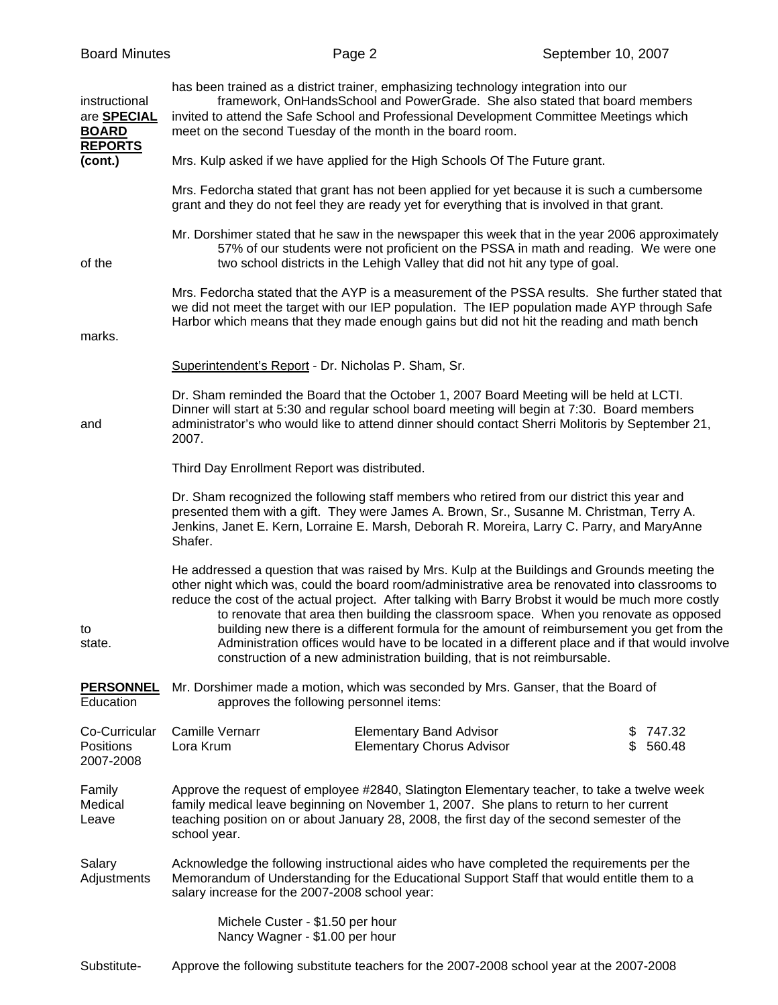| 2007.                               |                                                                    |                                                                                                                                                                                                                                                                                                                                      |                                                                                                                                                                                                                                                                                                                                                                                                                                                                                                                                                                                                                                                                                                                                                                                                                                                                                                                                                                                                                                                                                                                                                                                                                                                                                                                                                                                                                                                                                                                                                                                                                                                                                                                                                                                                                                                                                                                                                                                                                                                                                                                                                                                                                                                                                                                                                                                                                                                                                                                                                                                                                                                                                                                                                                                                                                                                                                                                                                             |
|-------------------------------------|--------------------------------------------------------------------|--------------------------------------------------------------------------------------------------------------------------------------------------------------------------------------------------------------------------------------------------------------------------------------------------------------------------------------|-----------------------------------------------------------------------------------------------------------------------------------------------------------------------------------------------------------------------------------------------------------------------------------------------------------------------------------------------------------------------------------------------------------------------------------------------------------------------------------------------------------------------------------------------------------------------------------------------------------------------------------------------------------------------------------------------------------------------------------------------------------------------------------------------------------------------------------------------------------------------------------------------------------------------------------------------------------------------------------------------------------------------------------------------------------------------------------------------------------------------------------------------------------------------------------------------------------------------------------------------------------------------------------------------------------------------------------------------------------------------------------------------------------------------------------------------------------------------------------------------------------------------------------------------------------------------------------------------------------------------------------------------------------------------------------------------------------------------------------------------------------------------------------------------------------------------------------------------------------------------------------------------------------------------------------------------------------------------------------------------------------------------------------------------------------------------------------------------------------------------------------------------------------------------------------------------------------------------------------------------------------------------------------------------------------------------------------------------------------------------------------------------------------------------------------------------------------------------------------------------------------------------------------------------------------------------------------------------------------------------------------------------------------------------------------------------------------------------------------------------------------------------------------------------------------------------------------------------------------------------------------------------------------------------------------------------------------------------------|
|                                     |                                                                    |                                                                                                                                                                                                                                                                                                                                      |                                                                                                                                                                                                                                                                                                                                                                                                                                                                                                                                                                                                                                                                                                                                                                                                                                                                                                                                                                                                                                                                                                                                                                                                                                                                                                                                                                                                                                                                                                                                                                                                                                                                                                                                                                                                                                                                                                                                                                                                                                                                                                                                                                                                                                                                                                                                                                                                                                                                                                                                                                                                                                                                                                                                                                                                                                                                                                                                                                             |
| Shafer.                             |                                                                    |                                                                                                                                                                                                                                                                                                                                      |                                                                                                                                                                                                                                                                                                                                                                                                                                                                                                                                                                                                                                                                                                                                                                                                                                                                                                                                                                                                                                                                                                                                                                                                                                                                                                                                                                                                                                                                                                                                                                                                                                                                                                                                                                                                                                                                                                                                                                                                                                                                                                                                                                                                                                                                                                                                                                                                                                                                                                                                                                                                                                                                                                                                                                                                                                                                                                                                                                             |
|                                     |                                                                    |                                                                                                                                                                                                                                                                                                                                      |                                                                                                                                                                                                                                                                                                                                                                                                                                                                                                                                                                                                                                                                                                                                                                                                                                                                                                                                                                                                                                                                                                                                                                                                                                                                                                                                                                                                                                                                                                                                                                                                                                                                                                                                                                                                                                                                                                                                                                                                                                                                                                                                                                                                                                                                                                                                                                                                                                                                                                                                                                                                                                                                                                                                                                                                                                                                                                                                                                             |
|                                     |                                                                    |                                                                                                                                                                                                                                                                                                                                      |                                                                                                                                                                                                                                                                                                                                                                                                                                                                                                                                                                                                                                                                                                                                                                                                                                                                                                                                                                                                                                                                                                                                                                                                                                                                                                                                                                                                                                                                                                                                                                                                                                                                                                                                                                                                                                                                                                                                                                                                                                                                                                                                                                                                                                                                                                                                                                                                                                                                                                                                                                                                                                                                                                                                                                                                                                                                                                                                                                             |
| <b>Camille Vernarr</b><br>Lora Krum | <b>Elementary Band Advisor</b><br><b>Elementary Chorus Advisor</b> | \$<br>\$                                                                                                                                                                                                                                                                                                                             | 747.32<br>560.48                                                                                                                                                                                                                                                                                                                                                                                                                                                                                                                                                                                                                                                                                                                                                                                                                                                                                                                                                                                                                                                                                                                                                                                                                                                                                                                                                                                                                                                                                                                                                                                                                                                                                                                                                                                                                                                                                                                                                                                                                                                                                                                                                                                                                                                                                                                                                                                                                                                                                                                                                                                                                                                                                                                                                                                                                                                                                                                                                            |
| school year.                        |                                                                    |                                                                                                                                                                                                                                                                                                                                      |                                                                                                                                                                                                                                                                                                                                                                                                                                                                                                                                                                                                                                                                                                                                                                                                                                                                                                                                                                                                                                                                                                                                                                                                                                                                                                                                                                                                                                                                                                                                                                                                                                                                                                                                                                                                                                                                                                                                                                                                                                                                                                                                                                                                                                                                                                                                                                                                                                                                                                                                                                                                                                                                                                                                                                                                                                                                                                                                                                             |
|                                     |                                                                    |                                                                                                                                                                                                                                                                                                                                      |                                                                                                                                                                                                                                                                                                                                                                                                                                                                                                                                                                                                                                                                                                                                                                                                                                                                                                                                                                                                                                                                                                                                                                                                                                                                                                                                                                                                                                                                                                                                                                                                                                                                                                                                                                                                                                                                                                                                                                                                                                                                                                                                                                                                                                                                                                                                                                                                                                                                                                                                                                                                                                                                                                                                                                                                                                                                                                                                                                             |
|                                     |                                                                    |                                                                                                                                                                                                                                                                                                                                      |                                                                                                                                                                                                                                                                                                                                                                                                                                                                                                                                                                                                                                                                                                                                                                                                                                                                                                                                                                                                                                                                                                                                                                                                                                                                                                                                                                                                                                                                                                                                                                                                                                                                                                                                                                                                                                                                                                                                                                                                                                                                                                                                                                                                                                                                                                                                                                                                                                                                                                                                                                                                                                                                                                                                                                                                                                                                                                                                                                             |
|                                     |                                                                    | meet on the second Tuesday of the month in the board room.<br>Superintendent's Report - Dr. Nicholas P. Sham, Sr.<br>Third Day Enrollment Report was distributed.<br>approves the following personnel items:<br>salary increase for the 2007-2008 school year:<br>Michele Custer - \$1.50 per hour<br>Nancy Wagner - \$1.00 per hour | has been trained as a district trainer, emphasizing technology integration into our<br>framework, OnHandsSchool and PowerGrade. She also stated that board members<br>invited to attend the Safe School and Professional Development Committee Meetings which<br>Mrs. Kulp asked if we have applied for the High Schools Of The Future grant.<br>Mrs. Fedorcha stated that grant has not been applied for yet because it is such a cumbersome<br>grant and they do not feel they are ready yet for everything that is involved in that grant.<br>Mr. Dorshimer stated that he saw in the newspaper this week that in the year 2006 approximately<br>57% of our students were not proficient on the PSSA in math and reading. We were one<br>two school districts in the Lehigh Valley that did not hit any type of goal.<br>Mrs. Fedorcha stated that the AYP is a measurement of the PSSA results. She further stated that<br>we did not meet the target with our IEP population. The IEP population made AYP through Safe<br>Harbor which means that they made enough gains but did not hit the reading and math bench<br>Dr. Sham reminded the Board that the October 1, 2007 Board Meeting will be held at LCTI.<br>Dinner will start at 5:30 and regular school board meeting will begin at 7:30. Board members<br>administrator's who would like to attend dinner should contact Sherri Molitoris by September 21,<br>Dr. Sham recognized the following staff members who retired from our district this year and<br>presented them with a gift. They were James A. Brown, Sr., Susanne M. Christman, Terry A.<br>Jenkins, Janet E. Kern, Lorraine E. Marsh, Deborah R. Moreira, Larry C. Parry, and MaryAnne<br>He addressed a question that was raised by Mrs. Kulp at the Buildings and Grounds meeting the<br>other night which was, could the board room/administrative area be renovated into classrooms to<br>reduce the cost of the actual project. After talking with Barry Brobst it would be much more costly<br>to renovate that area then building the classroom space. When you renovate as opposed<br>building new there is a different formula for the amount of reimbursement you get from the<br>Administration offices would have to be located in a different place and if that would involve<br>construction of a new administration building, that is not reimbursable.<br>Mr. Dorshimer made a motion, which was seconded by Mrs. Ganser, that the Board of<br>Approve the request of employee #2840, Slatington Elementary teacher, to take a twelve week<br>family medical leave beginning on November 1, 2007. She plans to return to her current<br>teaching position on or about January 28, 2008, the first day of the second semester of the<br>Acknowledge the following instructional aides who have completed the requirements per the<br>Memorandum of Understanding for the Educational Support Staff that would entitle them to a |

Substitute-Approve the following substitute teachers for the 2007-2008 school year at the 2007-2008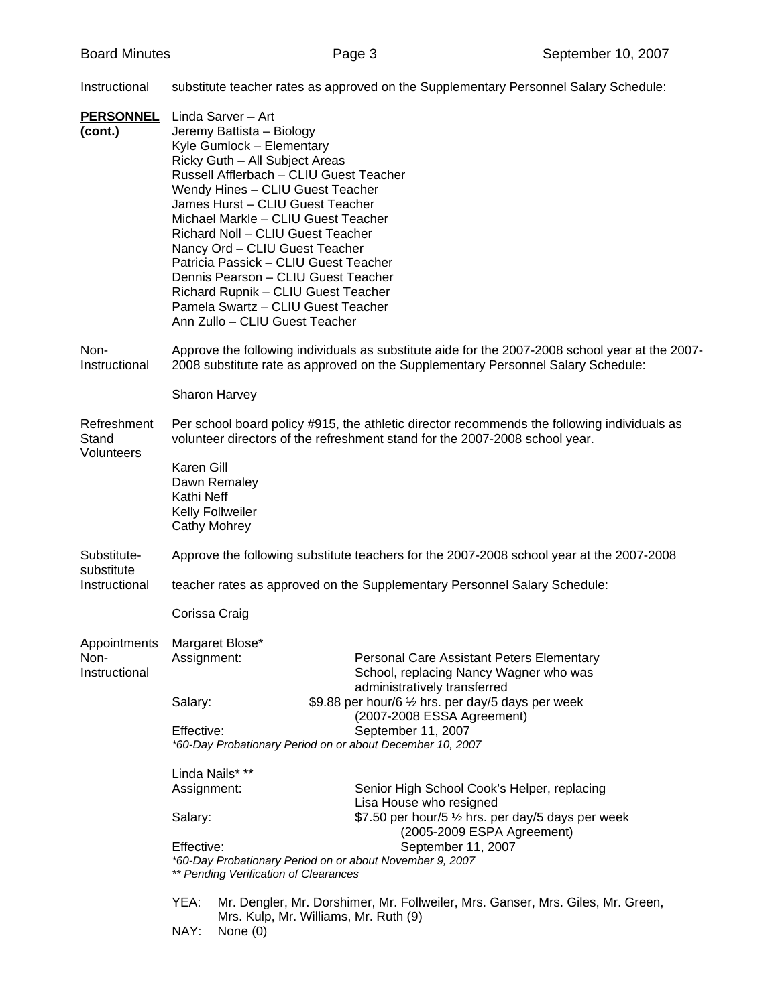Instructional substitute teacher rates as approved on the Supplementary Personnel Salary Schedule:

| <b>PERSONNEL</b>          | Linda Sarver - Art                                                                                                                                                                  |                                                                                    |  |  |
|---------------------------|-------------------------------------------------------------------------------------------------------------------------------------------------------------------------------------|------------------------------------------------------------------------------------|--|--|
| (cont.)                   | Jeremy Battista - Biology                                                                                                                                                           |                                                                                    |  |  |
|                           | Kyle Gumlock - Elementary                                                                                                                                                           |                                                                                    |  |  |
|                           | Ricky Guth - All Subject Areas                                                                                                                                                      |                                                                                    |  |  |
|                           | Russell Afflerbach - CLIU Guest Teacher                                                                                                                                             |                                                                                    |  |  |
|                           | Wendy Hines - CLIU Guest Teacher<br>James Hurst - CLIU Guest Teacher                                                                                                                |                                                                                    |  |  |
|                           | Michael Markle - CLIU Guest Teacher                                                                                                                                                 |                                                                                    |  |  |
|                           | Richard Noll - CLIU Guest Teacher                                                                                                                                                   |                                                                                    |  |  |
|                           | Nancy Ord - CLIU Guest Teacher                                                                                                                                                      |                                                                                    |  |  |
|                           | Patricia Passick - CLIU Guest Teacher                                                                                                                                               |                                                                                    |  |  |
|                           | Dennis Pearson - CLIU Guest Teacher                                                                                                                                                 |                                                                                    |  |  |
|                           | Richard Rupnik - CLIU Guest Teacher<br>Pamela Swartz - CLIU Guest Teacher                                                                                                           |                                                                                    |  |  |
|                           | Ann Zullo - CLIU Guest Teacher                                                                                                                                                      |                                                                                    |  |  |
|                           |                                                                                                                                                                                     |                                                                                    |  |  |
| Non-<br>Instructional     | Approve the following individuals as substitute aide for the 2007-2008 school year at the 2007-<br>2008 substitute rate as approved on the Supplementary Personnel Salary Schedule: |                                                                                    |  |  |
|                           | Sharon Harvey                                                                                                                                                                       |                                                                                    |  |  |
| Refreshment<br>Stand      | Per school board policy #915, the athletic director recommends the following individuals as<br>volunteer directors of the refreshment stand for the 2007-2008 school year.          |                                                                                    |  |  |
| Volunteers                |                                                                                                                                                                                     |                                                                                    |  |  |
|                           | Karen Gill                                                                                                                                                                          |                                                                                    |  |  |
|                           | Dawn Remaley                                                                                                                                                                        |                                                                                    |  |  |
|                           | Kathi Neff<br><b>Kelly Follweiler</b>                                                                                                                                               |                                                                                    |  |  |
|                           | Cathy Mohrey                                                                                                                                                                        |                                                                                    |  |  |
|                           |                                                                                                                                                                                     |                                                                                    |  |  |
| Substitute-<br>substitute | Approve the following substitute teachers for the 2007-2008 school year at the 2007-2008                                                                                            |                                                                                    |  |  |
| Instructional             | teacher rates as approved on the Supplementary Personnel Salary Schedule:                                                                                                           |                                                                                    |  |  |
|                           | Corissa Craig                                                                                                                                                                       |                                                                                    |  |  |
| Appointments              | Margaret Blose*                                                                                                                                                                     |                                                                                    |  |  |
| Non-                      | Assignment:                                                                                                                                                                         | Personal Care Assistant Peters Elementary                                          |  |  |
| Instructional             |                                                                                                                                                                                     | School, replacing Nancy Wagner who was                                             |  |  |
|                           | Salary:                                                                                                                                                                             | administratively transferred<br>\$9.88 per hour/6 1/2 hrs. per day/5 days per week |  |  |
|                           |                                                                                                                                                                                     | (2007-2008 ESSA Agreement)                                                         |  |  |
|                           | Effective:                                                                                                                                                                          | September 11, 2007                                                                 |  |  |
|                           |                                                                                                                                                                                     | *60-Day Probationary Period on or about December 10, 2007                          |  |  |
|                           | Linda Nails* **                                                                                                                                                                     |                                                                                    |  |  |
|                           | Assignment:                                                                                                                                                                         | Senior High School Cook's Helper, replacing                                        |  |  |
|                           |                                                                                                                                                                                     | Lisa House who resigned                                                            |  |  |
|                           | Salary:                                                                                                                                                                             | \$7.50 per hour/5 1/2 hrs. per day/5 days per week<br>(2005-2009 ESPA Agreement)   |  |  |
|                           | Effective:                                                                                                                                                                          | September 11, 2007                                                                 |  |  |
|                           | ** Pending Verification of Clearances                                                                                                                                               | *60-Day Probationary Period on or about November 9, 2007                           |  |  |
|                           | YEA:                                                                                                                                                                                | Mr. Dengler, Mr. Dorshimer, Mr. Follweiler, Mrs. Ganser, Mrs. Giles, Mr. Green,    |  |  |
|                           |                                                                                                                                                                                     | Mrs. Kulp, Mr. Williams, Mr. Ruth (9)                                              |  |  |
|                           |                                                                                                                                                                                     |                                                                                    |  |  |

NAY: None (0)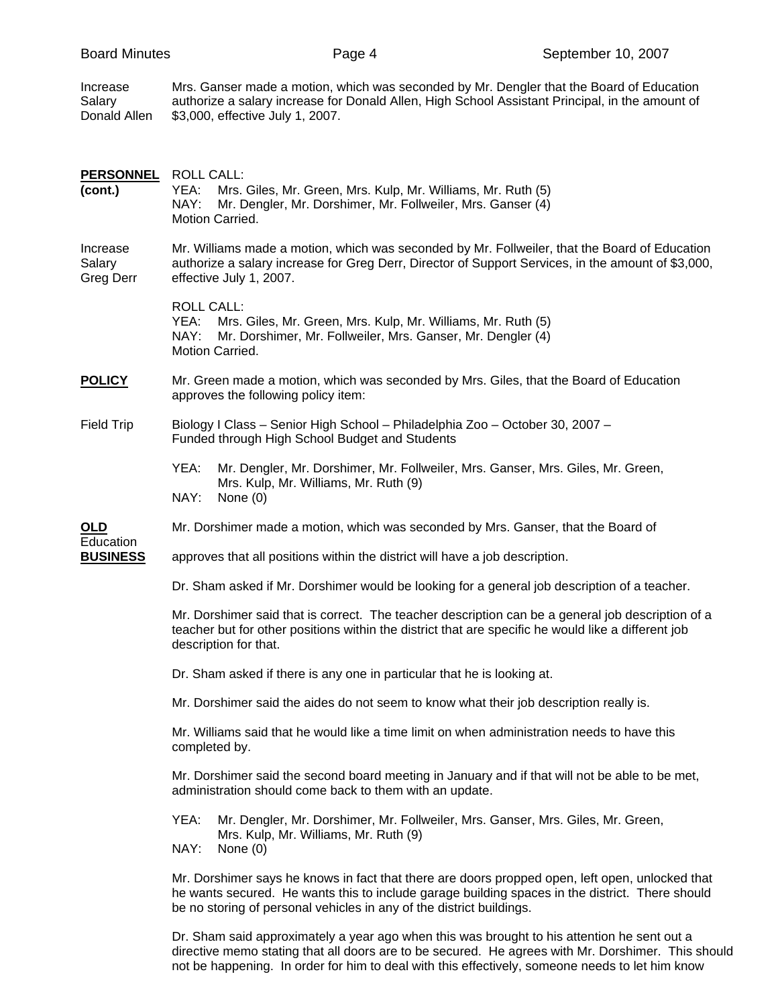| <b>Board Minutes</b>               |                                                                                                                                                                                                                                   | Page 4                                                                                                                                                                                                                                                                     | September 10, 2007 |  |
|------------------------------------|-----------------------------------------------------------------------------------------------------------------------------------------------------------------------------------------------------------------------------------|----------------------------------------------------------------------------------------------------------------------------------------------------------------------------------------------------------------------------------------------------------------------------|--------------------|--|
| Increase<br>Salary<br>Donald Allen | \$3,000, effective July 1, 2007.                                                                                                                                                                                                  | Mrs. Ganser made a motion, which was seconded by Mr. Dengler that the Board of Education<br>authorize a salary increase for Donald Allen, High School Assistant Principal, in the amount of                                                                                |                    |  |
| <b>PERSONNEL</b><br>(cont.)        | <b>ROLL CALL:</b><br>YEA:<br>NAY:<br>Motion Carried.                                                                                                                                                                              | Mrs. Giles, Mr. Green, Mrs. Kulp, Mr. Williams, Mr. Ruth (5)<br>Mr. Dengler, Mr. Dorshimer, Mr. Follweiler, Mrs. Ganser (4)                                                                                                                                                |                    |  |
| Increase<br>Salary<br>Greg Derr    | effective July 1, 2007.                                                                                                                                                                                                           | Mr. Williams made a motion, which was seconded by Mr. Follweiler, that the Board of Education<br>authorize a salary increase for Greg Derr, Director of Support Services, in the amount of \$3,000,                                                                        |                    |  |
|                                    | <b>ROLL CALL:</b><br>YEA:<br>NAY:<br>Motion Carried.                                                                                                                                                                              | Mrs. Giles, Mr. Green, Mrs. Kulp, Mr. Williams, Mr. Ruth (5)<br>Mr. Dorshimer, Mr. Follweiler, Mrs. Ganser, Mr. Dengler (4)                                                                                                                                                |                    |  |
| <b>POLICY</b>                      | approves the following policy item:                                                                                                                                                                                               | Mr. Green made a motion, which was seconded by Mrs. Giles, that the Board of Education                                                                                                                                                                                     |                    |  |
| <b>Field Trip</b>                  | Funded through High School Budget and Students                                                                                                                                                                                    | Biology I Class - Senior High School - Philadelphia Zoo - October 30, 2007 -                                                                                                                                                                                               |                    |  |
|                                    | YEA:<br>Mrs. Kulp, Mr. Williams, Mr. Ruth (9)<br>NAY:<br>None (0)                                                                                                                                                                 | Mr. Dengler, Mr. Dorshimer, Mr. Follweiler, Mrs. Ganser, Mrs. Giles, Mr. Green,                                                                                                                                                                                            |                    |  |
| OLD                                |                                                                                                                                                                                                                                   | Mr. Dorshimer made a motion, which was seconded by Mrs. Ganser, that the Board of                                                                                                                                                                                          |                    |  |
| Education<br><b>BUSINESS</b>       | approves that all positions within the district will have a job description.                                                                                                                                                      |                                                                                                                                                                                                                                                                            |                    |  |
|                                    | Dr. Sham asked if Mr. Dorshimer would be looking for a general job description of a teacher.                                                                                                                                      |                                                                                                                                                                                                                                                                            |                    |  |
|                                    | Mr. Dorshimer said that is correct. The teacher description can be a general job description of a<br>teacher but for other positions within the district that are specific he would like a different job<br>description for that. |                                                                                                                                                                                                                                                                            |                    |  |
|                                    | Dr. Sham asked if there is any one in particular that he is looking at.                                                                                                                                                           |                                                                                                                                                                                                                                                                            |                    |  |
|                                    | Mr. Dorshimer said the aides do not seem to know what their job description really is.                                                                                                                                            |                                                                                                                                                                                                                                                                            |                    |  |
|                                    | Mr. Williams said that he would like a time limit on when administration needs to have this<br>completed by.                                                                                                                      |                                                                                                                                                                                                                                                                            |                    |  |
|                                    |                                                                                                                                                                                                                                   | Mr. Dorshimer said the second board meeting in January and if that will not be able to be met,<br>administration should come back to them with an update.                                                                                                                  |                    |  |
|                                    | YEA:<br>Mrs. Kulp, Mr. Williams, Mr. Ruth (9)<br>NAY:<br>None $(0)$                                                                                                                                                               | Mr. Dengler, Mr. Dorshimer, Mr. Follweiler, Mrs. Ganser, Mrs. Giles, Mr. Green,                                                                                                                                                                                            |                    |  |
|                                    |                                                                                                                                                                                                                                   | Mr. Dorshimer says he knows in fact that there are doors propped open, left open, unlocked that<br>he wants secured. He wants this to include garage building spaces in the district. There should<br>be no storing of personal vehicles in any of the district buildings. |                    |  |

 Dr. Sham said approximately a year ago when this was brought to his attention he sent out a directive memo stating that all doors are to be secured. He agrees with Mr. Dorshimer. This should not be happening. In order for him to deal with this effectively, someone needs to let him know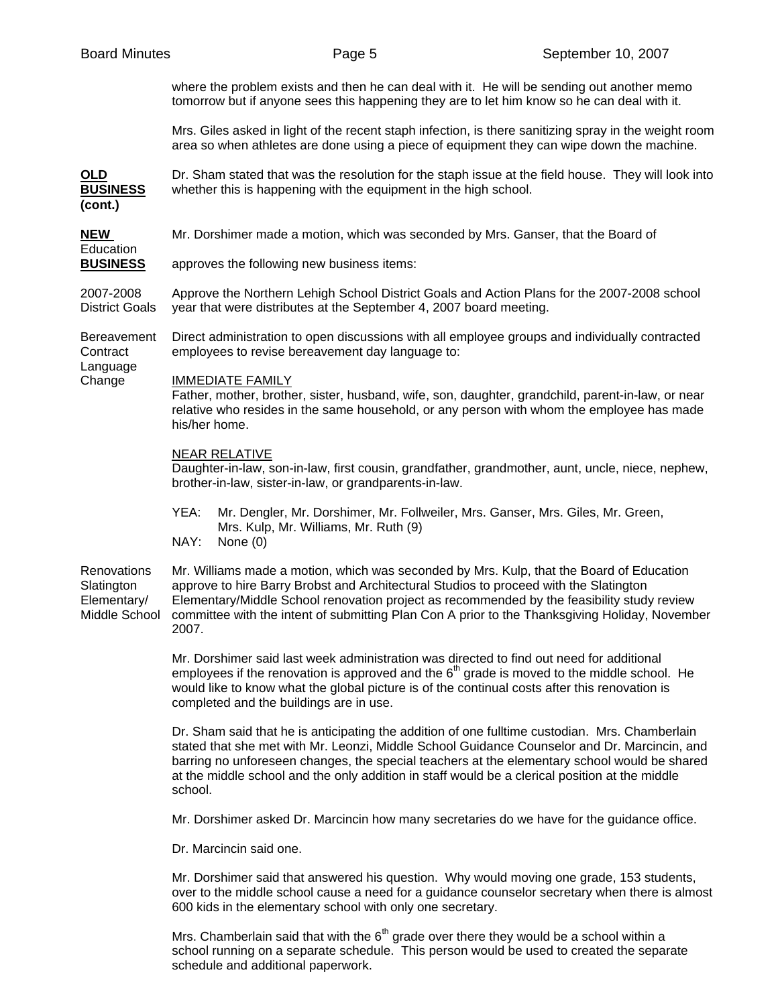| <b>Board Minutes</b>                                      | Page 5                                                                                                                                                                                                                                                                                                                                                                                                      | September 10, 2007 |  |  |
|-----------------------------------------------------------|-------------------------------------------------------------------------------------------------------------------------------------------------------------------------------------------------------------------------------------------------------------------------------------------------------------------------------------------------------------------------------------------------------------|--------------------|--|--|
|                                                           | where the problem exists and then he can deal with it. He will be sending out another memo<br>tomorrow but if anyone sees this happening they are to let him know so he can deal with it.                                                                                                                                                                                                                   |                    |  |  |
|                                                           | Mrs. Giles asked in light of the recent staph infection, is there sanitizing spray in the weight room<br>area so when athletes are done using a piece of equipment they can wipe down the machine.                                                                                                                                                                                                          |                    |  |  |
| OLD<br><b>BUSINESS</b><br>(cont.)                         | Dr. Sham stated that was the resolution for the staph issue at the field house. They will look into<br>whether this is happening with the equipment in the high school.                                                                                                                                                                                                                                     |                    |  |  |
| <b>NEW</b><br>Education                                   | Mr. Dorshimer made a motion, which was seconded by Mrs. Ganser, that the Board of                                                                                                                                                                                                                                                                                                                           |                    |  |  |
| <b>BUSINESS</b>                                           | approves the following new business items:                                                                                                                                                                                                                                                                                                                                                                  |                    |  |  |
| 2007-2008<br><b>District Goals</b>                        | Approve the Northern Lehigh School District Goals and Action Plans for the 2007-2008 school<br>year that were distributes at the September 4, 2007 board meeting.                                                                                                                                                                                                                                           |                    |  |  |
| <b>Bereavement</b><br>Contract                            | Direct administration to open discussions with all employee groups and individually contracted<br>employees to revise bereavement day language to:                                                                                                                                                                                                                                                          |                    |  |  |
| Language<br>Change                                        | <b>IMMEDIATE FAMILY</b><br>Father, mother, brother, sister, husband, wife, son, daughter, grandchild, parent-in-law, or near<br>relative who resides in the same household, or any person with whom the employee has made<br>his/her home.                                                                                                                                                                  |                    |  |  |
|                                                           | <b>NEAR RELATIVE</b><br>Daughter-in-law, son-in-law, first cousin, grandfather, grandmother, aunt, uncle, niece, nephew,<br>brother-in-law, sister-in-law, or grandparents-in-law.                                                                                                                                                                                                                          |                    |  |  |
|                                                           | YEA:<br>Mr. Dengler, Mr. Dorshimer, Mr. Follweiler, Mrs. Ganser, Mrs. Giles, Mr. Green,<br>Mrs. Kulp, Mr. Williams, Mr. Ruth (9)<br>NAY:<br>None $(0)$                                                                                                                                                                                                                                                      |                    |  |  |
| Renovations<br>Slatington<br>Elementary/<br>Middle School | Mr. Williams made a motion, which was seconded by Mrs. Kulp, that the Board of Education<br>approve to hire Barry Brobst and Architectural Studios to proceed with the Slatington<br>Elementary/Middle School renovation project as recommended by the feasibility study review<br>committee with the intent of submitting Plan Con A prior to the Thanksgiving Holiday, November<br>2007.                  |                    |  |  |
|                                                           | Mr. Dorshimer said last week administration was directed to find out need for additional<br>employees if the renovation is approved and the $6th$ grade is moved to the middle school. He<br>would like to know what the global picture is of the continual costs after this renovation is<br>completed and the buildings are in use.                                                                       |                    |  |  |
|                                                           | Dr. Sham said that he is anticipating the addition of one fulltime custodian. Mrs. Chamberlain<br>stated that she met with Mr. Leonzi, Middle School Guidance Counselor and Dr. Marcincin, and<br>barring no unforeseen changes, the special teachers at the elementary school would be shared<br>at the middle school and the only addition in staff would be a clerical position at the middle<br>school. |                    |  |  |
|                                                           | Mr. Dorshimer asked Dr. Marcincin how many secretaries do we have for the guidance office.                                                                                                                                                                                                                                                                                                                  |                    |  |  |
|                                                           | Dr. Marcincin said one.                                                                                                                                                                                                                                                                                                                                                                                     |                    |  |  |
|                                                           | Mr. Dorshimer said that answered his question. Why would moving one grade, 153 students,<br>over to the middle school cause a need for a guidance counselor secretary when there is almost<br>600 kids in the elementary school with only one secretary.                                                                                                                                                    |                    |  |  |
|                                                           | Mrs. Chamberlain said that with the $6th$ grade over there they would be a school within a<br>school running on a separate schedule. This person would be used to created the separate                                                                                                                                                                                                                      |                    |  |  |

schedule and additional paperwork.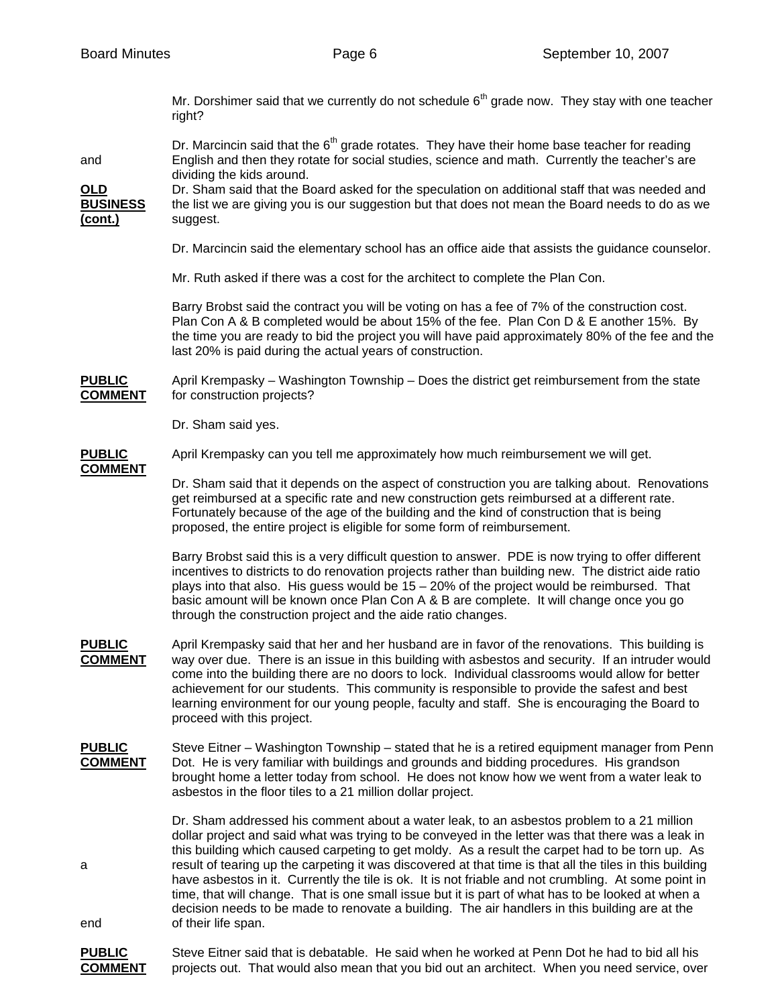Mr. Dorshimer said that we currently do not schedule  $6<sup>th</sup>$  grade now. They stay with one teacher right?

Dr. Marcincin said that the  $6<sup>th</sup>$  grade rotates. They have their home base teacher for reading and English and then they rotate for social studies, science and math. Currently the teacher's are dividing the kids around.

**OLD** Dr. Sham said that the Board asked for the speculation on additional staff that was needed and **BUSINESS** the list we are giving you is our suggestion but that does not mean the Board needs to do as we **(cont.)** suggest.

Dr. Marcincin said the elementary school has an office aide that assists the guidance counselor.

Mr. Ruth asked if there was a cost for the architect to complete the Plan Con.

 Barry Brobst said the contract you will be voting on has a fee of 7% of the construction cost. Plan Con A & B completed would be about 15% of the fee. Plan Con D & E another 15%. By the time you are ready to bid the project you will have paid approximately 80% of the fee and the last 20% is paid during the actual years of construction.

**PUBLIC** April Krempasky – Washington Township – Does the district get reimbursement from the state **COMMENT** for construction projects?

Dr. Sham said yes.

**PUBLIC** April Krempasky can you tell me approximately how much reimbursement we will get.

**COMMENT**

 Dr. Sham said that it depends on the aspect of construction you are talking about. Renovations get reimbursed at a specific rate and new construction gets reimbursed at a different rate. Fortunately because of the age of the building and the kind of construction that is being proposed, the entire project is eligible for some form of reimbursement.

 Barry Brobst said this is a very difficult question to answer. PDE is now trying to offer different incentives to districts to do renovation projects rather than building new. The district aide ratio plays into that also. His guess would be 15 – 20% of the project would be reimbursed. That basic amount will be known once Plan Con A & B are complete. It will change once you go through the construction project and the aide ratio changes.

- **PUBLIC** April Krempasky said that her and her husband are in favor of the renovations. This building is **COMMENT** way over due. There is an issue in this building with asbestos and security. If an intruder would come into the building there are no doors to lock. Individual classrooms would allow for better achievement for our students. This community is responsible to provide the safest and best learning environment for our young people, faculty and staff. She is encouraging the Board to proceed with this project.
- **PUBLIC** Steve Eitner Washington Township stated that he is a retired equipment manager from Penn **COMMENT** Dot. He is very familiar with buildings and grounds and bidding procedures. His grandson brought home a letter today from school. He does not know how we went from a water leak to asbestos in the floor tiles to a 21 million dollar project.

 Dr. Sham addressed his comment about a water leak, to an asbestos problem to a 21 million dollar project and said what was trying to be conveyed in the letter was that there was a leak in this building which caused carpeting to get moldy. As a result the carpet had to be torn up. As a result of tearing up the carpeting it was discovered at that time is that all the tiles in this building have asbestos in it. Currently the tile is ok. It is not friable and not crumbling. At some point in time, that will change. That is one small issue but it is part of what has to be looked at when a decision needs to be made to renovate a building. The air handlers in this building are at the end of their life span.

**PUBLIC** Steve Eitner said that is debatable. He said when he worked at Penn Dot he had to bid all his **COMMENT** projects out. That would also mean that you bid out an architect. When you need service, over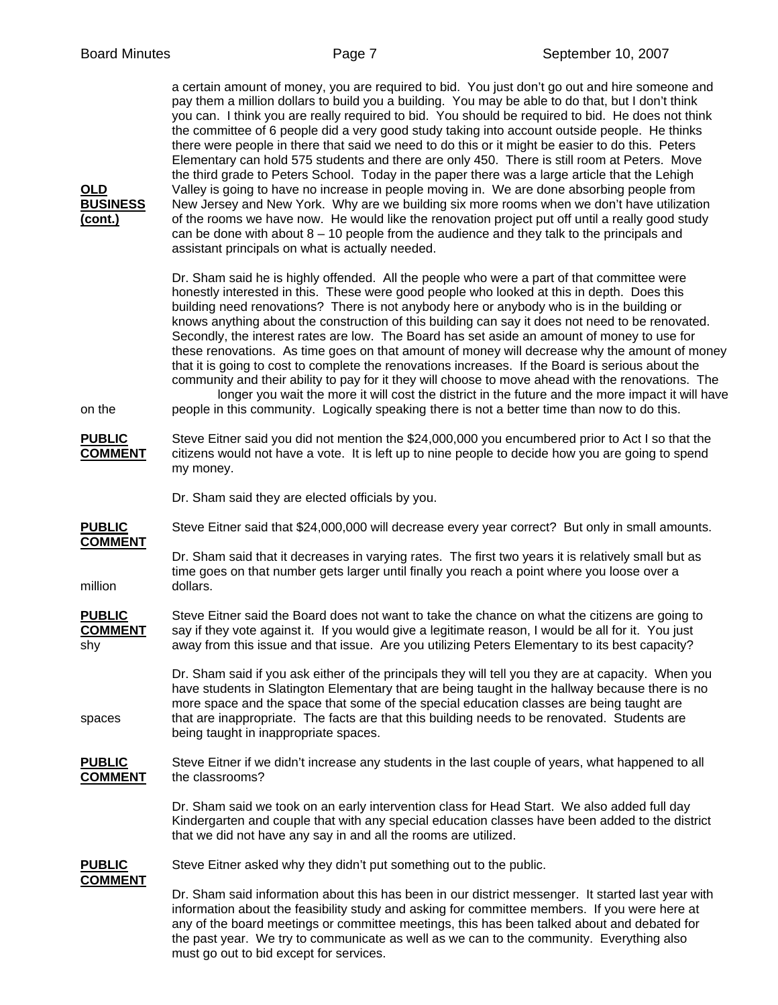| <b>OLD</b><br><b>BUSINESS</b><br><u>(cont.)</u> | a certain amount of money, you are required to bid. You just don't go out and hire someone and<br>pay them a million dollars to build you a building. You may be able to do that, but I don't think<br>you can. I think you are really required to bid. You should be required to bid. He does not think<br>the committee of 6 people did a very good study taking into account outside people. He thinks<br>there were people in there that said we need to do this or it might be easier to do this. Peters<br>Elementary can hold 575 students and there are only 450. There is still room at Peters. Move<br>the third grade to Peters School. Today in the paper there was a large article that the Lehigh<br>Valley is going to have no increase in people moving in. We are done absorbing people from<br>New Jersey and New York. Why are we building six more rooms when we don't have utilization<br>of the rooms we have now. He would like the renovation project put off until a really good study<br>can be done with about $8 - 10$ people from the audience and they talk to the principals and<br>assistant principals on what is actually needed. |
|-------------------------------------------------|---------------------------------------------------------------------------------------------------------------------------------------------------------------------------------------------------------------------------------------------------------------------------------------------------------------------------------------------------------------------------------------------------------------------------------------------------------------------------------------------------------------------------------------------------------------------------------------------------------------------------------------------------------------------------------------------------------------------------------------------------------------------------------------------------------------------------------------------------------------------------------------------------------------------------------------------------------------------------------------------------------------------------------------------------------------------------------------------------------------------------------------------------------------------|
| on the                                          | Dr. Sham said he is highly offended. All the people who were a part of that committee were<br>honestly interested in this. These were good people who looked at this in depth. Does this<br>building need renovations? There is not anybody here or anybody who is in the building or<br>knows anything about the construction of this building can say it does not need to be renovated.<br>Secondly, the interest rates are low. The Board has set aside an amount of money to use for<br>these renovations. As time goes on that amount of money will decrease why the amount of money<br>that it is going to cost to complete the renovations increases. If the Board is serious about the<br>community and their ability to pay for it they will choose to move ahead with the renovations. The<br>longer you wait the more it will cost the district in the future and the more impact it will have<br>people in this community. Logically speaking there is not a better time than now to do this.                                                                                                                                                           |
| <b>PUBLIC</b><br><b>COMMENT</b>                 | Steve Eitner said you did not mention the \$24,000,000 you encumbered prior to Act I so that the<br>citizens would not have a vote. It is left up to nine people to decide how you are going to spend<br>my money.                                                                                                                                                                                                                                                                                                                                                                                                                                                                                                                                                                                                                                                                                                                                                                                                                                                                                                                                                  |
|                                                 | Dr. Sham said they are elected officials by you.                                                                                                                                                                                                                                                                                                                                                                                                                                                                                                                                                                                                                                                                                                                                                                                                                                                                                                                                                                                                                                                                                                                    |
| <b>PUBLIC</b>                                   | Steve Eitner said that \$24,000,000 will decrease every year correct? But only in small amounts.                                                                                                                                                                                                                                                                                                                                                                                                                                                                                                                                                                                                                                                                                                                                                                                                                                                                                                                                                                                                                                                                    |
| <b>COMMENT</b><br>million                       | Dr. Sham said that it decreases in varying rates. The first two years it is relatively small but as<br>time goes on that number gets larger until finally you reach a point where you loose over a<br>dollars.                                                                                                                                                                                                                                                                                                                                                                                                                                                                                                                                                                                                                                                                                                                                                                                                                                                                                                                                                      |
| <b>PUBLIC</b><br><b>COMMENT</b><br>shy          | Steve Eitner said the Board does not want to take the chance on what the citizens are going to<br>say if they vote against it. If you would give a legitimate reason, I would be all for it. You just<br>away from this issue and that issue. Are you utilizing Peters Elementary to its best capacity?                                                                                                                                                                                                                                                                                                                                                                                                                                                                                                                                                                                                                                                                                                                                                                                                                                                             |
| spaces                                          | Dr. Sham said if you ask either of the principals they will tell you they are at capacity. When you<br>have students in Slatington Elementary that are being taught in the hallway because there is no<br>more space and the space that some of the special education classes are being taught are<br>that are inappropriate. The facts are that this building needs to be renovated. Students are<br>being taught in inappropriate spaces.                                                                                                                                                                                                                                                                                                                                                                                                                                                                                                                                                                                                                                                                                                                         |
| <b>PUBLIC</b><br><b>COMMENT</b>                 | Steve Eitner if we didn't increase any students in the last couple of years, what happened to all<br>the classrooms?                                                                                                                                                                                                                                                                                                                                                                                                                                                                                                                                                                                                                                                                                                                                                                                                                                                                                                                                                                                                                                                |
|                                                 | Dr. Sham said we took on an early intervention class for Head Start. We also added full day<br>Kindergarten and couple that with any special education classes have been added to the district<br>that we did not have any say in and all the rooms are utilized.                                                                                                                                                                                                                                                                                                                                                                                                                                                                                                                                                                                                                                                                                                                                                                                                                                                                                                   |
| <b>PUBLIC</b>                                   | Steve Eitner asked why they didn't put something out to the public.                                                                                                                                                                                                                                                                                                                                                                                                                                                                                                                                                                                                                                                                                                                                                                                                                                                                                                                                                                                                                                                                                                 |
| <b>COMMENT</b>                                  | Dr. Sham said information about this has been in our district messenger. It started last year with<br>information about the feasibility study and asking for committee members. If you were here at<br>any of the board meetings or committee meetings, this has been talked about and debated for                                                                                                                                                                                                                                                                                                                                                                                                                                                                                                                                                                                                                                                                                                                                                                                                                                                                  |

the past year. We try to communicate as well as we can to the community. Everything also

must go out to bid except for services.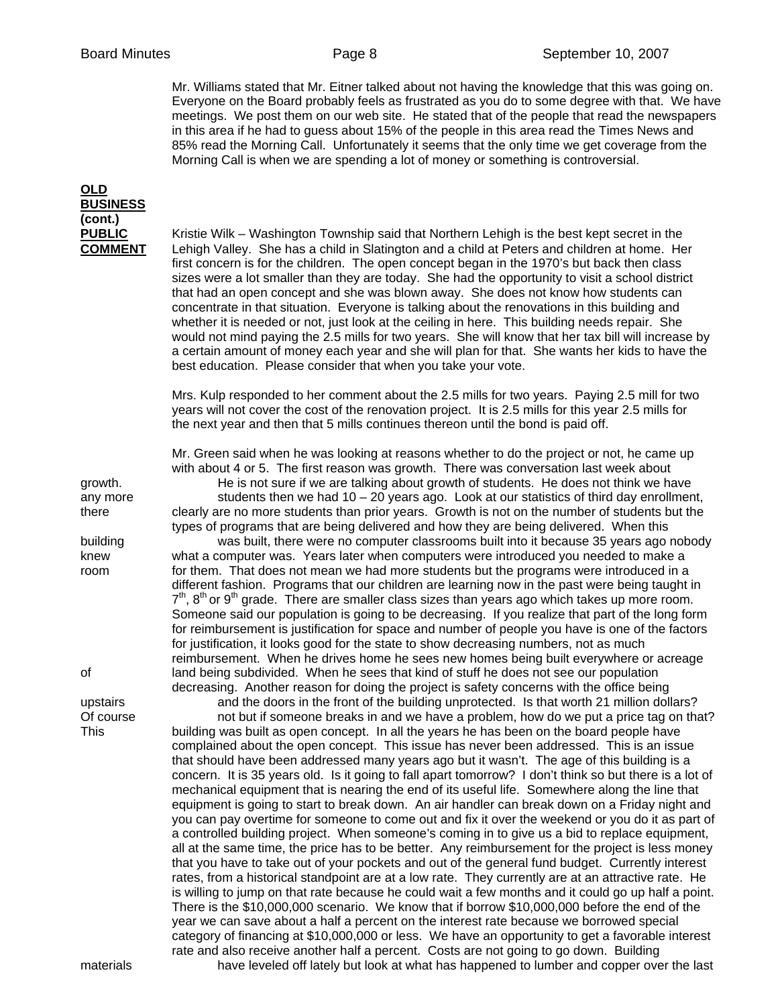Mr. Williams stated that Mr. Eitner talked about not having the knowledge that this was going on. Everyone on the Board probably feels as frustrated as you do to some degree with that. We have meetings. We post them on our web site. He stated that of the people that read the newspapers in this area if he had to guess about 15% of the people in this area read the Times News and 85% read the Morning Call. Unfortunately it seems that the only time we get coverage from the Morning Call is when we are spending a lot of money or something is controversial.

## **OLD BUSINESS (cont.)**

**PUBLIC** Kristie Wilk – Washington Township said that Northern Lehigh is the best kept secret in the **COMMENT** Lehigh Valley. She has a child in Slatington and a child at Peters and children at home. Her first concern is for the children. The open concept began in the 1970's but back then class sizes were a lot smaller than they are today. She had the opportunity to visit a school district that had an open concept and she was blown away. She does not know how students can concentrate in that situation. Everyone is talking about the renovations in this building and whether it is needed or not, just look at the ceiling in here. This building needs repair. She would not mind paying the 2.5 mills for two years. She will know that her tax bill will increase by a certain amount of money each year and she will plan for that. She wants her kids to have the best education. Please consider that when you take your vote.

> Mrs. Kulp responded to her comment about the 2.5 mills for two years. Paying 2.5 mill for two years will not cover the cost of the renovation project. It is 2.5 mills for this year 2.5 mills for the next year and then that 5 mills continues thereon until the bond is paid off.

 Mr. Green said when he was looking at reasons whether to do the project or not, he came up with about 4 or 5. The first reason was growth. There was conversation last week about growth. He is not sure if we are talking about growth of students. He does not think we have

any more students then we had  $10 - 20$  years ago. Look at our statistics of third day enrollment, there clearly are no more students than prior years. Growth is not on the number of students but the types of programs that are being delivered and how they are being delivered. When this

building was built, there were no computer classrooms built into it because 35 years ago nobody knew what a computer was. Years later when computers were introduced you needed to make a room for them. That does not mean we had more students but the programs were introduced in a different fashion. Programs that our children are learning now in the past were being taught in  $7<sup>th</sup>$ , 8<sup>th</sup> or 9<sup>th</sup> grade. There are smaller class sizes than years ago which takes up more room. Someone said our population is going to be decreasing. If you realize that part of the long form for reimbursement is justification for space and number of people you have is one of the factors for justification, it looks good for the state to show decreasing numbers, not as much reimbursement. When he drives home he sees new homes being built everywhere or acreage of land being subdivided. When he sees that kind of stuff he does not see our population decreasing. Another reason for doing the project is safety concerns with the office being

upstairs and the doors in the front of the building unprotected. Is that worth 21 million dollars? Of course not but if someone breaks in and we have a problem, how do we put a price tag on that? This building was built as open concept. In all the years he has been on the board people have complained about the open concept. This issue has never been addressed. This is an issue that should have been addressed many years ago but it wasn't. The age of this building is a concern. It is 35 years old. Is it going to fall apart tomorrow? I don't think so but there is a lot of mechanical equipment that is nearing the end of its useful life. Somewhere along the line that equipment is going to start to break down. An air handler can break down on a Friday night and you can pay overtime for someone to come out and fix it over the weekend or you do it as part of a controlled building project. When someone's coming in to give us a bid to replace equipment, all at the same time, the price has to be better. Any reimbursement for the project is less money that you have to take out of your pockets and out of the general fund budget. Currently interest rates, from a historical standpoint are at a low rate. They currently are at an attractive rate. He is willing to jump on that rate because he could wait a few months and it could go up half a point. There is the \$10,000,000 scenario. We know that if borrow \$10,000,000 before the end of the year we can save about a half a percent on the interest rate because we borrowed special category of financing at \$10,000,000 or less. We have an opportunity to get a favorable interest rate and also receive another half a percent. Costs are not going to go down. Building materials have leveled off lately but look at what has happened to lumber and copper over the last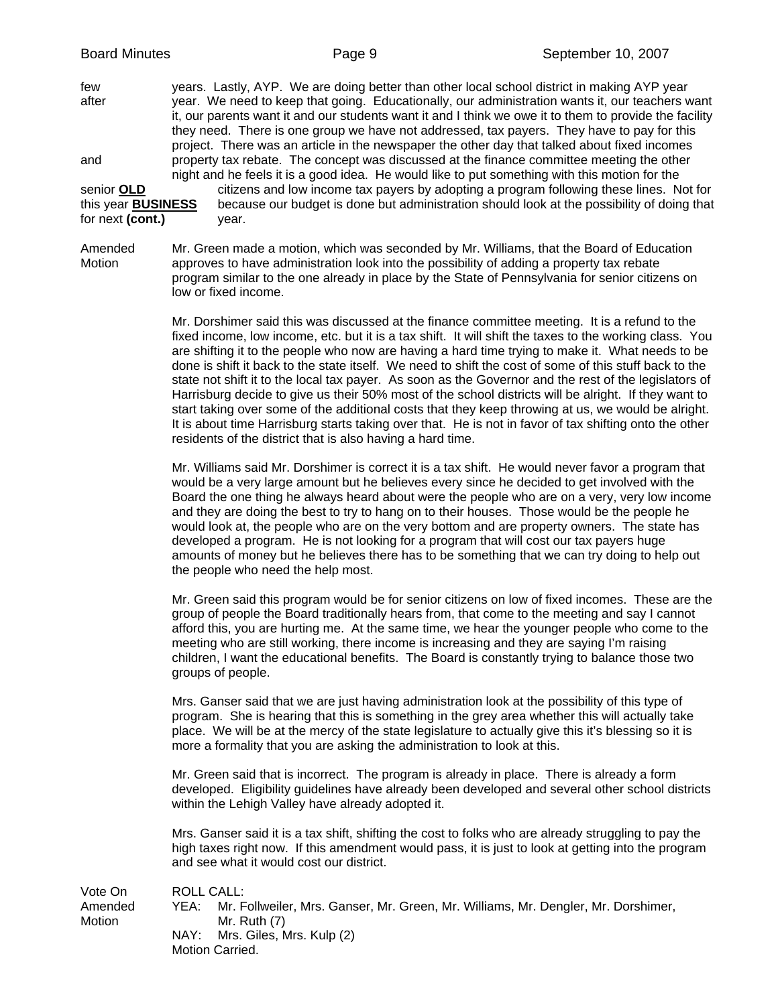few years. Lastly, AYP. We are doing better than other local school district in making AYP year after year. We need to keep that going. Educationally, our administration wants it, our teachers want it, our parents want it and our students want it and I think we owe it to them to provide the facility they need. There is one group we have not addressed, tax payers. They have to pay for this project. There was an article in the newspaper the other day that talked about fixed incomes and property tax rebate. The concept was discussed at the finance committee meeting the other night and he feels it is a good idea. He would like to put something with this motion for the senior **OLD** citizens and low income tax payers by adopting a program following these lines. Not for this year **BUSINESS** because our budget is done but administration should look at the possibility of doing that because our budget is done but administration should look at the possibility of doing that

for next **(cont.)** year.

Amended Mr. Green made a motion, which was seconded by Mr. Williams, that the Board of Education Motion approves to have administration look into the possibility of adding a property tax rebate program similar to the one already in place by the State of Pennsylvania for senior citizens on low or fixed income.

> Mr. Dorshimer said this was discussed at the finance committee meeting. It is a refund to the fixed income, low income, etc. but it is a tax shift. It will shift the taxes to the working class. You are shifting it to the people who now are having a hard time trying to make it. What needs to be done is shift it back to the state itself. We need to shift the cost of some of this stuff back to the state not shift it to the local tax payer. As soon as the Governor and the rest of the legislators of Harrisburg decide to give us their 50% most of the school districts will be alright. If they want to start taking over some of the additional costs that they keep throwing at us, we would be alright. It is about time Harrisburg starts taking over that. He is not in favor of tax shifting onto the other residents of the district that is also having a hard time.

> Mr. Williams said Mr. Dorshimer is correct it is a tax shift. He would never favor a program that would be a very large amount but he believes every since he decided to get involved with the Board the one thing he always heard about were the people who are on a very, very low income and they are doing the best to try to hang on to their houses. Those would be the people he would look at, the people who are on the very bottom and are property owners. The state has developed a program. He is not looking for a program that will cost our tax payers huge amounts of money but he believes there has to be something that we can try doing to help out the people who need the help most.

> Mr. Green said this program would be for senior citizens on low of fixed incomes. These are the group of people the Board traditionally hears from, that come to the meeting and say I cannot afford this, you are hurting me. At the same time, we hear the younger people who come to the meeting who are still working, there income is increasing and they are saying I'm raising children, I want the educational benefits. The Board is constantly trying to balance those two groups of people.

Mrs. Ganser said that we are just having administration look at the possibility of this type of program. She is hearing that this is something in the grey area whether this will actually take place. We will be at the mercy of the state legislature to actually give this it's blessing so it is more a formality that you are asking the administration to look at this.

Mr. Green said that is incorrect. The program is already in place. There is already a form developed. Eligibility guidelines have already been developed and several other school districts within the Lehigh Valley have already adopted it.

Mrs. Ganser said it is a tax shift, shifting the cost to folks who are already struggling to pay the high taxes right now. If this amendment would pass, it is just to look at getting into the program and see what it would cost our district.

Vote On ROLL CALL: Amended YEA: Mr. Follweiler, Mrs. Ganser, Mr. Green, Mr. Williams, Mr. Dengler, Mr. Dorshimer, Motion Mr. Ruth (7) NAY: Mrs. Giles, Mrs. Kulp (2) Motion Carried.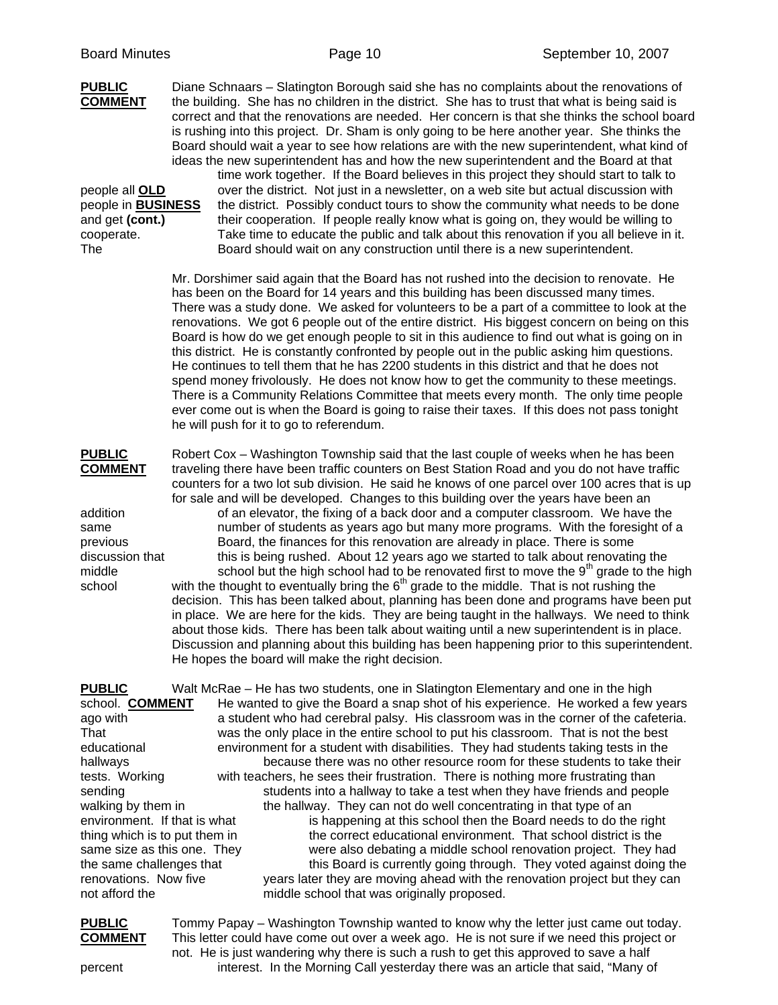| <b>PUBLIC</b><br><b>COMMENT</b><br>people all <b>OLD</b><br>people in <b>BUSINESS</b><br>and get (cont.)<br>cooperate.<br><b>The</b>                                                                                                                                                           |                                                  | Diane Schnaars - Slatington Borough said she has no complaints about the renovations of<br>the building. She has no children in the district. She has to trust that what is being said is<br>correct and that the renovations are needed. Her concern is that she thinks the school board<br>is rushing into this project. Dr. Sham is only going to be here another year. She thinks the<br>Board should wait a year to see how relations are with the new superintendent, what kind of<br>ideas the new superintendent has and how the new superintendent and the Board at that<br>time work together. If the Board believes in this project they should start to talk to<br>over the district. Not just in a newsletter, on a web site but actual discussion with<br>the district. Possibly conduct tours to show the community what needs to be done<br>their cooperation. If people really know what is going on, they would be willing to<br>Take time to educate the public and talk about this renovation if you all believe in it.<br>Board should wait on any construction until there is a new superintendent.                                                                                                                                                                                           |
|------------------------------------------------------------------------------------------------------------------------------------------------------------------------------------------------------------------------------------------------------------------------------------------------|--------------------------------------------------|---------------------------------------------------------------------------------------------------------------------------------------------------------------------------------------------------------------------------------------------------------------------------------------------------------------------------------------------------------------------------------------------------------------------------------------------------------------------------------------------------------------------------------------------------------------------------------------------------------------------------------------------------------------------------------------------------------------------------------------------------------------------------------------------------------------------------------------------------------------------------------------------------------------------------------------------------------------------------------------------------------------------------------------------------------------------------------------------------------------------------------------------------------------------------------------------------------------------------------------------------------------------------------------------------------------------|
|                                                                                                                                                                                                                                                                                                | he will push for it to go to referendum.         | Mr. Dorshimer said again that the Board has not rushed into the decision to renovate. He<br>has been on the Board for 14 years and this building has been discussed many times.<br>There was a study done. We asked for volunteers to be a part of a committee to look at the<br>renovations. We got 6 people out of the entire district. His biggest concern on being on this<br>Board is how do we get enough people to sit in this audience to find out what is going on in<br>this district. He is constantly confronted by people out in the public asking him questions.<br>He continues to tell them that he has 2200 students in this district and that he does not<br>spend money frivolously. He does not know how to get the community to these meetings.<br>There is a Community Relations Committee that meets every month. The only time people<br>ever come out is when the Board is going to raise their taxes. If this does not pass tonight                                                                                                                                                                                                                                                                                                                                                       |
| <b>PUBLIC</b><br><b>COMMENT</b><br>addition<br>same<br>previous<br>discussion that<br>middle<br>school                                                                                                                                                                                         | He hopes the board will make the right decision. | Robert Cox - Washington Township said that the last couple of weeks when he has been<br>traveling there have been traffic counters on Best Station Road and you do not have traffic<br>counters for a two lot sub division. He said he knows of one parcel over 100 acres that is up<br>for sale and will be developed. Changes to this building over the years have been an<br>of an elevator, the fixing of a back door and a computer classroom. We have the<br>number of students as years ago but many more programs. With the foresight of a<br>Board, the finances for this renovation are already in place. There is some<br>this is being rushed. About 12 years ago we started to talk about renovating the<br>school but the high school had to be renovated first to move the $9th$ grade to the high<br>with the thought to eventually bring the 6 <sup>th</sup> grade to the middle. That is not rushing the<br>decision. This has been talked about, planning has been done and programs have been put<br>in place. We are here for the kids. They are being taught in the hallways. We need to think<br>about those kids. There has been talk about waiting until a new superintendent is in place.<br>Discussion and planning about this building has been happening prior to this superintendent. |
| <b>PUBLIC</b><br>school. <b>COMMENT</b><br>ago with<br>That<br>educational<br>hallways<br>tests. Working<br>sending<br>walking by them in<br>environment. If that is what<br>thing which is to put them in<br>same size as this one. They<br>the same challenges that<br>renovations. Now five |                                                  | Walt McRae – He has two students, one in Slatington Elementary and one in the high<br>He wanted to give the Board a snap shot of his experience. He worked a few years<br>a student who had cerebral palsy. His classroom was in the corner of the cafeteria.<br>was the only place in the entire school to put his classroom. That is not the best<br>environment for a student with disabilities. They had students taking tests in the<br>because there was no other resource room for these students to take their<br>with teachers, he sees their frustration. There is nothing more frustrating than<br>students into a hallway to take a test when they have friends and people<br>the hallway. They can not do well concentrating in that type of an<br>is happening at this school then the Board needs to do the right<br>the correct educational environment. That school district is the<br>were also debating a middle school renovation project. They had<br>this Board is currently going through. They voted against doing the<br>years later they are moving ahead with the renovation project but they can                                                                                                                                                                                        |

**PUBLIC** Tommy Papay – Washington Township wanted to know why the letter just came out today. **COMMENT** This letter could have come out over a week ago. He is not sure if we need this project or not. He is just wandering why there is such a rush to get this approved to save a half percent interest. In the Morning Call yesterday there was an article that said, "Many of

not afford the middle school that was originally proposed.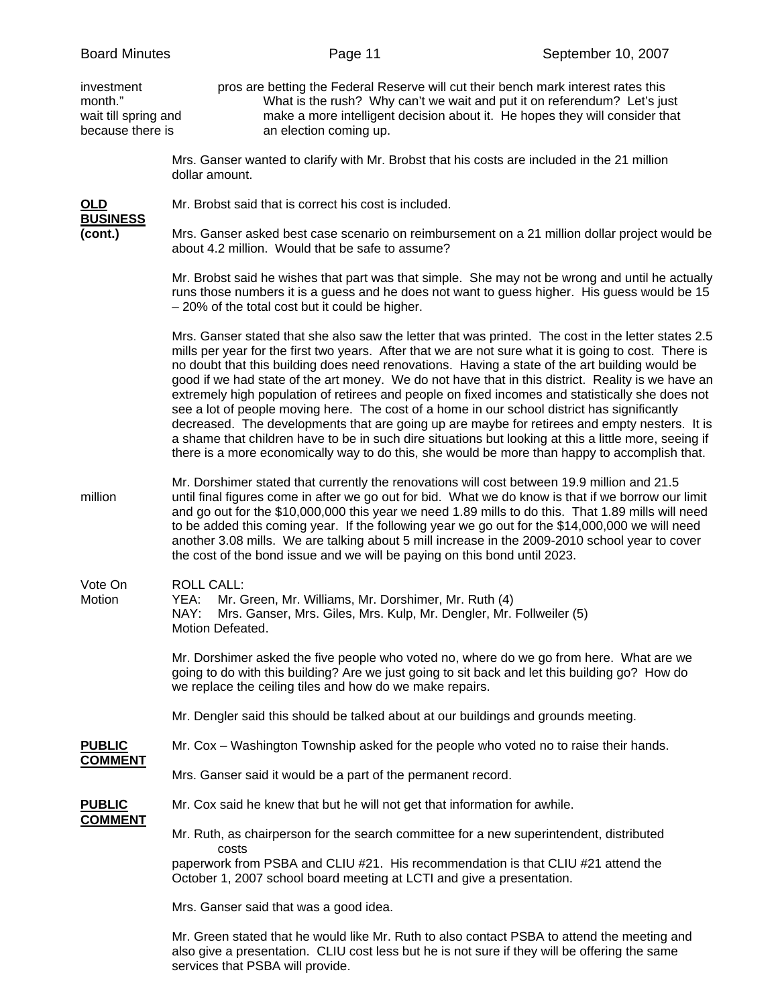| <b>Board Minutes</b>                                              | Page 11<br>September 10, 2007                                                                                                                                                                                                                                                                                                                                                                                                                                                                                                                                                                                                                                                                                                                                                                                                                                                                                                       |                                                                                                                                                         |
|-------------------------------------------------------------------|-------------------------------------------------------------------------------------------------------------------------------------------------------------------------------------------------------------------------------------------------------------------------------------------------------------------------------------------------------------------------------------------------------------------------------------------------------------------------------------------------------------------------------------------------------------------------------------------------------------------------------------------------------------------------------------------------------------------------------------------------------------------------------------------------------------------------------------------------------------------------------------------------------------------------------------|---------------------------------------------------------------------------------------------------------------------------------------------------------|
| investment<br>month."<br>wait till spring and<br>because there is | pros are betting the Federal Reserve will cut their bench mark interest rates this<br>an election coming up.                                                                                                                                                                                                                                                                                                                                                                                                                                                                                                                                                                                                                                                                                                                                                                                                                        | What is the rush? Why can't we wait and put it on referendum? Let's just<br>make a more intelligent decision about it. He hopes they will consider that |
|                                                                   | Mrs. Ganser wanted to clarify with Mr. Brobst that his costs are included in the 21 million<br>dollar amount.                                                                                                                                                                                                                                                                                                                                                                                                                                                                                                                                                                                                                                                                                                                                                                                                                       |                                                                                                                                                         |
| OLD                                                               | Mr. Brobst said that is correct his cost is included.                                                                                                                                                                                                                                                                                                                                                                                                                                                                                                                                                                                                                                                                                                                                                                                                                                                                               |                                                                                                                                                         |
| <b>BUSINESS</b><br>(cont.)                                        | Mrs. Ganser asked best case scenario on reimbursement on a 21 million dollar project would be<br>about 4.2 million. Would that be safe to assume?                                                                                                                                                                                                                                                                                                                                                                                                                                                                                                                                                                                                                                                                                                                                                                                   |                                                                                                                                                         |
|                                                                   | Mr. Brobst said he wishes that part was that simple. She may not be wrong and until he actually<br>runs those numbers it is a guess and he does not want to guess higher. His guess would be 15<br>- 20% of the total cost but it could be higher.                                                                                                                                                                                                                                                                                                                                                                                                                                                                                                                                                                                                                                                                                  |                                                                                                                                                         |
|                                                                   | Mrs. Ganser stated that she also saw the letter that was printed. The cost in the letter states 2.5<br>mills per year for the first two years. After that we are not sure what it is going to cost. There is<br>no doubt that this building does need renovations. Having a state of the art building would be<br>good if we had state of the art money. We do not have that in this district. Reality is we have an<br>extremely high population of retirees and people on fixed incomes and statistically she does not<br>see a lot of people moving here. The cost of a home in our school district has significantly<br>decreased. The developments that are going up are maybe for retirees and empty nesters. It is<br>a shame that children have to be in such dire situations but looking at this a little more, seeing if<br>there is a more economically way to do this, she would be more than happy to accomplish that. |                                                                                                                                                         |
| million                                                           | Mr. Dorshimer stated that currently the renovations will cost between 19.9 million and 21.5<br>until final figures come in after we go out for bid. What we do know is that if we borrow our limit<br>and go out for the \$10,000,000 this year we need 1.89 mills to do this. That 1.89 mills will need<br>to be added this coming year. If the following year we go out for the \$14,000,000 we will need<br>another 3.08 mills. We are talking about 5 mill increase in the 2009-2010 school year to cover<br>the cost of the bond issue and we will be paying on this bond until 2023.                                                                                                                                                                                                                                                                                                                                          |                                                                                                                                                         |
| Vote On<br>Motion                                                 | <b>ROLL CALL:</b><br>Mr. Green, Mr. Williams, Mr. Dorshimer, Mr. Ruth (4)<br>YEA:<br>Mrs. Ganser, Mrs. Giles, Mrs. Kulp, Mr. Dengler, Mr. Follweiler (5)<br>NAY:<br>Motion Defeated.                                                                                                                                                                                                                                                                                                                                                                                                                                                                                                                                                                                                                                                                                                                                                |                                                                                                                                                         |
|                                                                   | Mr. Dorshimer asked the five people who voted no, where do we go from here. What are we<br>going to do with this building? Are we just going to sit back and let this building go? How do<br>we replace the ceiling tiles and how do we make repairs.                                                                                                                                                                                                                                                                                                                                                                                                                                                                                                                                                                                                                                                                               |                                                                                                                                                         |
|                                                                   | Mr. Dengler said this should be talked about at our buildings and grounds meeting.                                                                                                                                                                                                                                                                                                                                                                                                                                                                                                                                                                                                                                                                                                                                                                                                                                                  |                                                                                                                                                         |
| <b>PUBLIC</b>                                                     | Mr. Cox – Washington Township asked for the people who voted no to raise their hands.                                                                                                                                                                                                                                                                                                                                                                                                                                                                                                                                                                                                                                                                                                                                                                                                                                               |                                                                                                                                                         |
| <b>COMMENT</b>                                                    | Mrs. Ganser said it would be a part of the permanent record.                                                                                                                                                                                                                                                                                                                                                                                                                                                                                                                                                                                                                                                                                                                                                                                                                                                                        |                                                                                                                                                         |
| <b>PUBLIC</b><br><b>COMMENT</b>                                   | Mr. Cox said he knew that but he will not get that information for awhile.                                                                                                                                                                                                                                                                                                                                                                                                                                                                                                                                                                                                                                                                                                                                                                                                                                                          |                                                                                                                                                         |
|                                                                   | Mr. Ruth, as chairperson for the search committee for a new superintendent, distributed<br>costs                                                                                                                                                                                                                                                                                                                                                                                                                                                                                                                                                                                                                                                                                                                                                                                                                                    |                                                                                                                                                         |
|                                                                   | paperwork from PSBA and CLIU #21. His recommendation is that CLIU #21 attend the<br>October 1, 2007 school board meeting at LCTI and give a presentation.                                                                                                                                                                                                                                                                                                                                                                                                                                                                                                                                                                                                                                                                                                                                                                           |                                                                                                                                                         |
|                                                                   | Mrs. Ganser said that was a good idea.                                                                                                                                                                                                                                                                                                                                                                                                                                                                                                                                                                                                                                                                                                                                                                                                                                                                                              |                                                                                                                                                         |
|                                                                   | Mr. Green stated that he would like Mr. Ruth to also contact PSBA to attend the meeting and<br>also give a presentation. CLIU cost less but he is not sure if they will be offering the same<br>services that PSBA will provide.                                                                                                                                                                                                                                                                                                                                                                                                                                                                                                                                                                                                                                                                                                    |                                                                                                                                                         |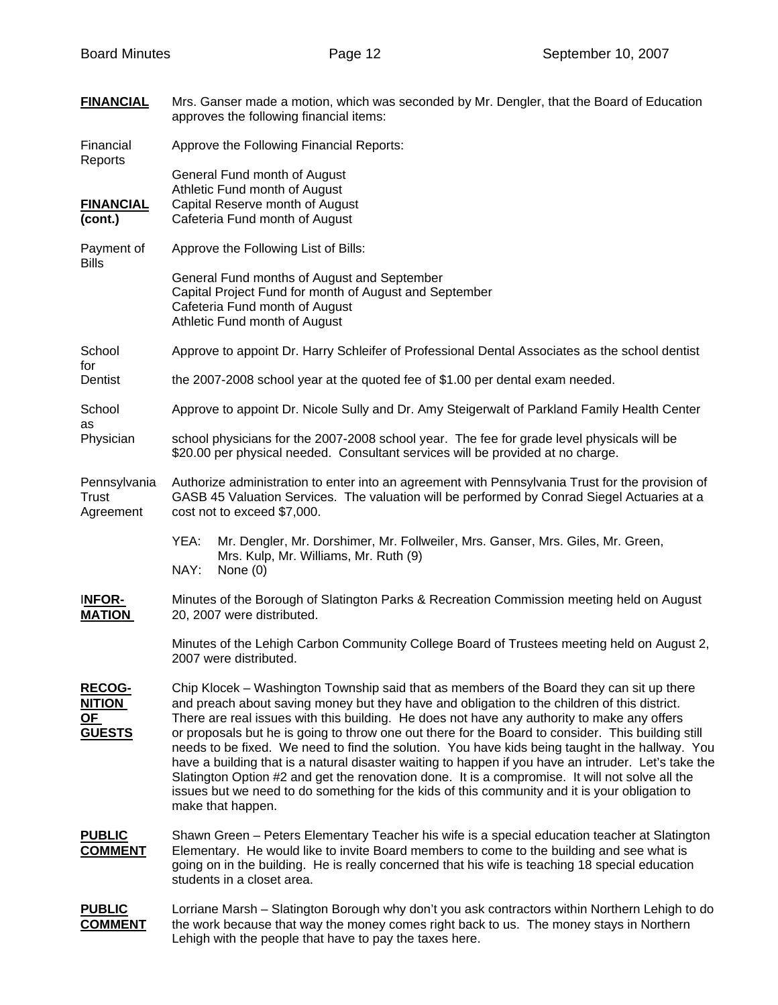| <b>FINANCIAL</b>                                             | Mrs. Ganser made a motion, which was seconded by Mr. Dengler, that the Board of Education<br>approves the following financial items:                                                                                                                                                                                                                                                                                                                                                                                                                                                                                                                                                                                                                                                                                                |
|--------------------------------------------------------------|-------------------------------------------------------------------------------------------------------------------------------------------------------------------------------------------------------------------------------------------------------------------------------------------------------------------------------------------------------------------------------------------------------------------------------------------------------------------------------------------------------------------------------------------------------------------------------------------------------------------------------------------------------------------------------------------------------------------------------------------------------------------------------------------------------------------------------------|
| Financial<br>Reports                                         | Approve the Following Financial Reports:                                                                                                                                                                                                                                                                                                                                                                                                                                                                                                                                                                                                                                                                                                                                                                                            |
| <b>FINANCIAL</b><br>(cont.)                                  | General Fund month of August<br>Athletic Fund month of August<br>Capital Reserve month of August<br>Cafeteria Fund month of August                                                                                                                                                                                                                                                                                                                                                                                                                                                                                                                                                                                                                                                                                                  |
| Payment of<br><b>Bills</b>                                   | Approve the Following List of Bills:                                                                                                                                                                                                                                                                                                                                                                                                                                                                                                                                                                                                                                                                                                                                                                                                |
|                                                              | General Fund months of August and September<br>Capital Project Fund for month of August and September<br>Cafeteria Fund month of August<br>Athletic Fund month of August                                                                                                                                                                                                                                                                                                                                                                                                                                                                                                                                                                                                                                                            |
| School<br>for                                                | Approve to appoint Dr. Harry Schleifer of Professional Dental Associates as the school dentist                                                                                                                                                                                                                                                                                                                                                                                                                                                                                                                                                                                                                                                                                                                                      |
| Dentist                                                      | the 2007-2008 school year at the quoted fee of \$1.00 per dental exam needed.                                                                                                                                                                                                                                                                                                                                                                                                                                                                                                                                                                                                                                                                                                                                                       |
| School<br>as                                                 | Approve to appoint Dr. Nicole Sully and Dr. Amy Steigerwalt of Parkland Family Health Center                                                                                                                                                                                                                                                                                                                                                                                                                                                                                                                                                                                                                                                                                                                                        |
| Physician                                                    | school physicians for the 2007-2008 school year. The fee for grade level physicals will be<br>\$20.00 per physical needed. Consultant services will be provided at no charge.                                                                                                                                                                                                                                                                                                                                                                                                                                                                                                                                                                                                                                                       |
| Pennsylvania<br>Trust<br>Agreement                           | Authorize administration to enter into an agreement with Pennsylvania Trust for the provision of<br>GASB 45 Valuation Services. The valuation will be performed by Conrad Siegel Actuaries at a<br>cost not to exceed \$7,000.                                                                                                                                                                                                                                                                                                                                                                                                                                                                                                                                                                                                      |
|                                                              | YEA:<br>Mr. Dengler, Mr. Dorshimer, Mr. Follweiler, Mrs. Ganser, Mrs. Giles, Mr. Green,<br>Mrs. Kulp, Mr. Williams, Mr. Ruth (9)<br>NAY:<br>None (0)                                                                                                                                                                                                                                                                                                                                                                                                                                                                                                                                                                                                                                                                                |
| INFOR-<br><b>MATION</b>                                      | Minutes of the Borough of Slatington Parks & Recreation Commission meeting held on August<br>20, 2007 were distributed.                                                                                                                                                                                                                                                                                                                                                                                                                                                                                                                                                                                                                                                                                                             |
|                                                              | Minutes of the Lehigh Carbon Community College Board of Trustees meeting held on August 2,<br>2007 were distributed.                                                                                                                                                                                                                                                                                                                                                                                                                                                                                                                                                                                                                                                                                                                |
| <b>RECOG-</b><br><b>NITION</b><br><u>OF</u><br><b>GUESTS</b> | Chip Klocek – Washington Township said that as members of the Board they can sit up there<br>and preach about saving money but they have and obligation to the children of this district.<br>There are real issues with this building. He does not have any authority to make any offers<br>or proposals but he is going to throw one out there for the Board to consider. This building still<br>needs to be fixed. We need to find the solution. You have kids being taught in the hallway. You<br>have a building that is a natural disaster waiting to happen if you have an intruder. Let's take the<br>Slatington Option #2 and get the renovation done. It is a compromise. It will not solve all the<br>issues but we need to do something for the kids of this community and it is your obligation to<br>make that happen. |
| <b>PUBLIC</b><br><u>COMMENT</u>                              | Shawn Green - Peters Elementary Teacher his wife is a special education teacher at Slatington<br>Elementary. He would like to invite Board members to come to the building and see what is<br>going on in the building. He is really concerned that his wife is teaching 18 special education<br>students in a closet area.                                                                                                                                                                                                                                                                                                                                                                                                                                                                                                         |
| <b>PUBLIC</b><br><b>COMMENT</b>                              | Lorriane Marsh - Slatington Borough why don't you ask contractors within Northern Lehigh to do<br>the work because that way the money comes right back to us. The money stays in Northern<br>Lehigh with the people that have to pay the taxes here.                                                                                                                                                                                                                                                                                                                                                                                                                                                                                                                                                                                |